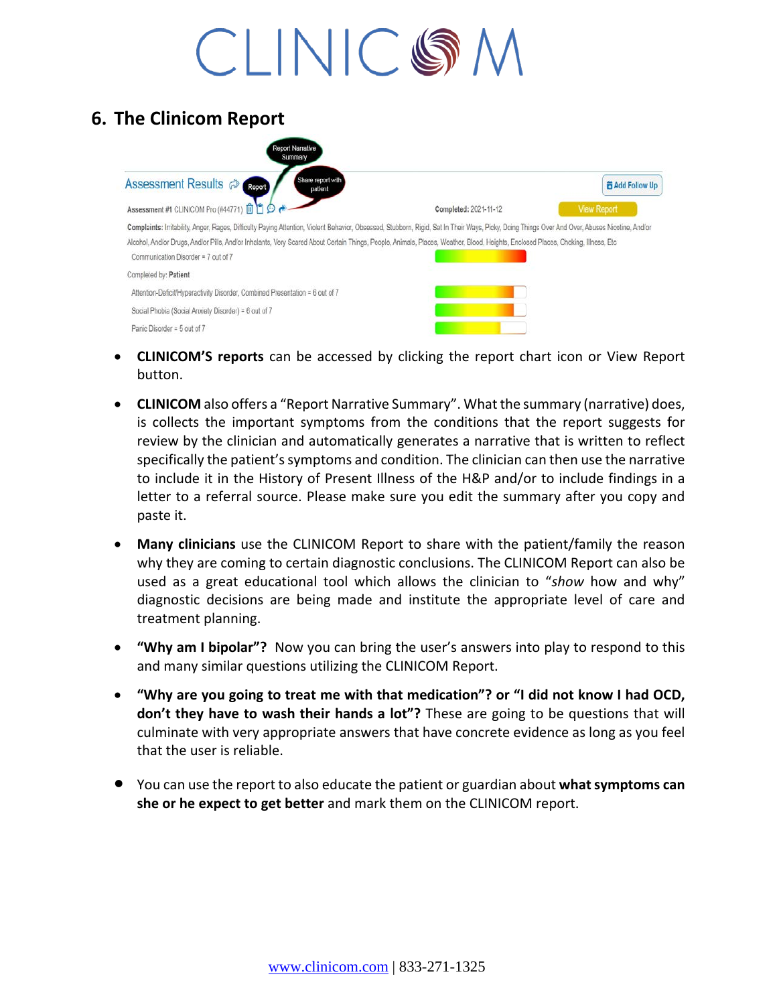**6. The Clinicom Report**

- **CLINICOM'S reports** can be accessed by clicking the report chart icon or View Report button.
- **CLINICOM** also offers a "Report Narrative Summary". What the summary (narrative) does, is collects the important symptoms from the conditions that the report suggests for review by the clinician and automatically generates a narrative that is written to reflect specifically the patient's symptoms and condition. The clinician can then use the narrative to include it in the History of Present Illness of the H&P and/or to include findings in a letter to a referral source. Please make sure you edit the summary after you copy and paste it.
- **Many clinicians** use the CLINICOM Report to share with the patient/family the reason why they are coming to certain diagnostic conclusions. The CLINICOM Report can also be used as a great educational tool which allows the clinician to "*show* how and why" diagnostic decisions are being made and institute the appropriate level of care and treatment planning.
- **"Why am I bipolar"?** Now you can bring the user's answers into play to respond to this and many similar questions utilizing the CLINICOM Report.
- **"Why are you going to treat me with that medication"? or "I did not know I had OCD, don't they have to wash their hands a lot"?** These are going to be questions that will culminate with very appropriate answers that have concrete evidence as long as you feel that the user is reliable.
- You can use the report to also educate the patient or guardian about **what symptoms can she or he expect to get better** and mark them on the CLINICOM report.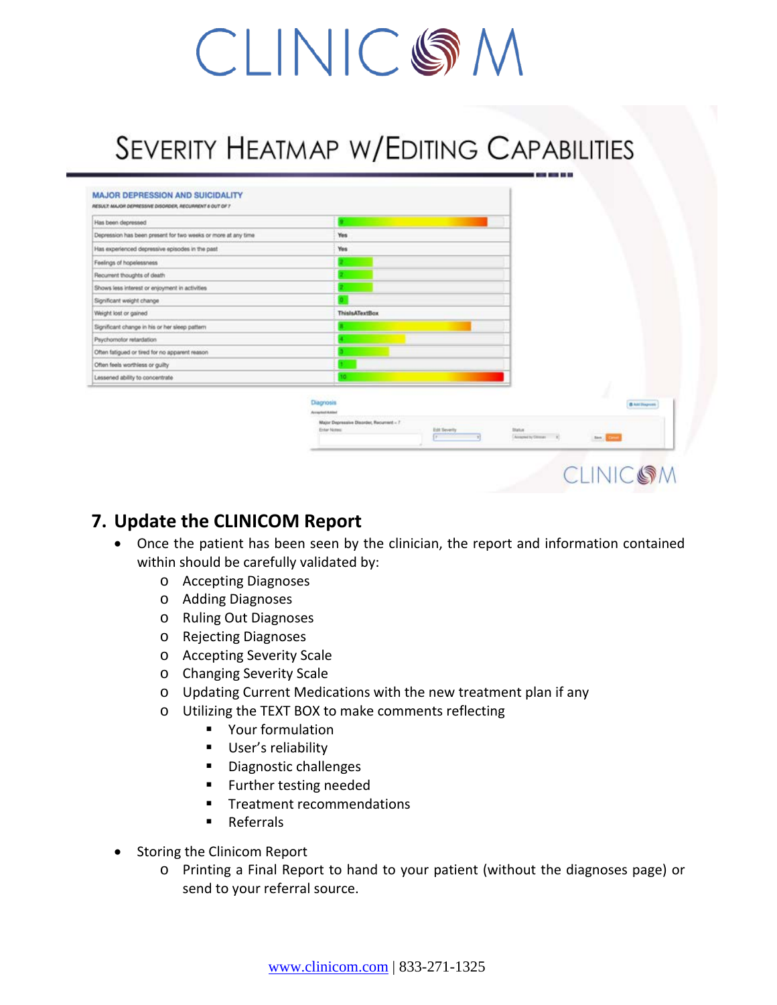### SEVERITY HEATMAP W/EDITING CAPABILITIES

| Has been depressed                                            |                                                           |               |                     |                       |
|---------------------------------------------------------------|-----------------------------------------------------------|---------------|---------------------|-----------------------|
| Depression has been present for two weeks or more at any time | Yes                                                       |               |                     |                       |
| Has experienced depressive episodes in the past               | Yes                                                       |               |                     |                       |
| Feelings of hopelessness                                      |                                                           |               |                     |                       |
| Recurrent thoughts of death                                   |                                                           |               |                     |                       |
| Shows less interest or enjoyment in activities                |                                                           |               |                     |                       |
| Significant weight change                                     |                                                           |               |                     |                       |
| Weight lost or gained                                         | <b>ThislsATextBox</b>                                     |               |                     |                       |
| Significant change in his or her sleep pattern                |                                                           |               |                     |                       |
| Psychomotor retardation                                       |                                                           |               |                     |                       |
| Often fatigued or tired for no apparent reason                |                                                           |               |                     |                       |
| Often feels worthless or guilty                               |                                                           |               |                     |                       |
| Lessened ability to concentrate                               | ю                                                         |               |                     |                       |
|                                                               |                                                           |               |                     |                       |
|                                                               | Diagnosis<br>Accepted Added                               |               |                     | <b>B Ant Diagnose</b> |
|                                                               | Major Depressive Disorder, Recurrent - 7<br>Enter Nitsie: | Edit Severity | Datus.              |                       |
|                                                               |                                                           | ╔             | Airport by Olivan 1 | <b>Ben</b> Errors     |

### **7. Update the CLINICOM Report**

- Once the patient has been seen by the clinician, the report and information contained within should be carefully validated by:
	- o Accepting Diagnoses
	- o Adding Diagnoses
	- o Ruling Out Diagnoses
	- o Rejecting Diagnoses
	- o Accepting Severity Scale
	- o Changing Severity Scale
	- o Updating Current Medications with the new treatment plan if any
	- o Utilizing the TEXT BOX to make comments reflecting
		- **•** Your formulation
		- **User's reliability**
		- **Diagnostic challenges**
		- **Further testing needed**
		- **Treatment recommendations**
		- **Referrals**
- Storing the Clinicom Report
	- o Printing a Final Report to hand to your patient (without the diagnoses page) or send to your referral source.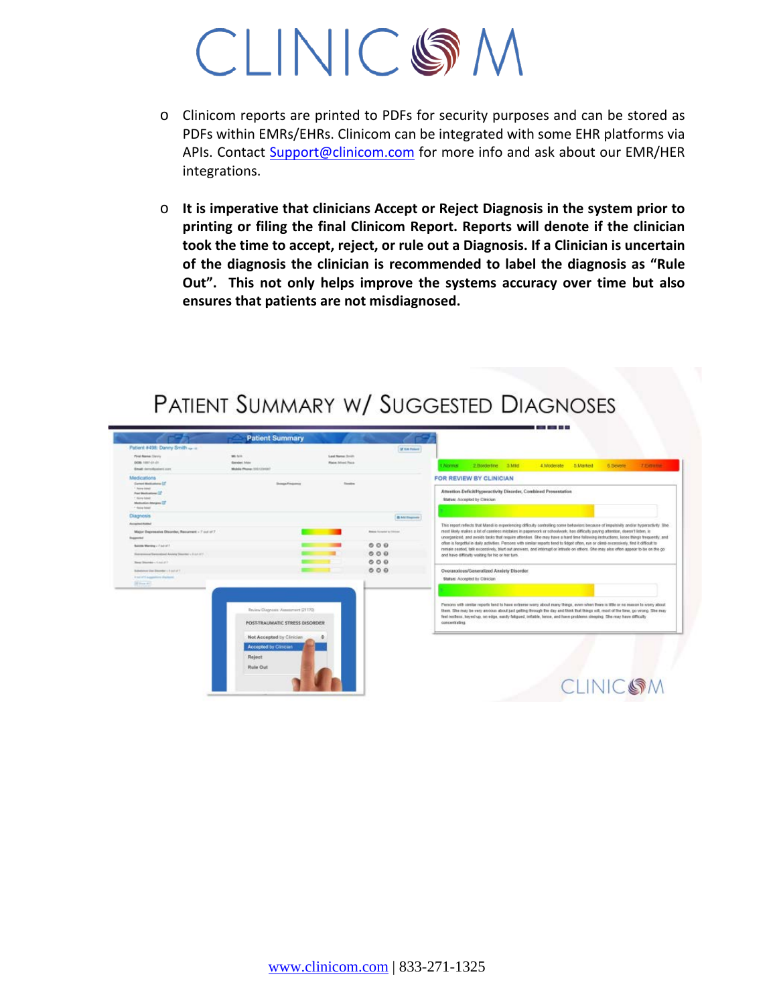- o Clinicom reports are printed to PDFs for security purposes and can be stored as PDFs within EMRs/EHRs. Clinicom can be integrated with some EHR platforms via APIs. Contact [Support@clinicom.com](mailto:Support@clinicom.com) for more info and ask about our EMR/HER integrations.
- o **It is imperative that clinicians Accept or Reject Diagnosis in the system prior to printing or filing the final Clinicom Report. Reports will denote if the clinician took the time to accept, reject, or rule out a Diagnosis. If a Clinician is uncertain of the diagnosis the clinician is recommended to label the diagnosis as "Rule Out". This not only helps improve the systems accuracy over time but also ensures that patients are not misdiagnosed.**



### PATIENT SUMMARY W/ SUGGESTED DIAGNOSES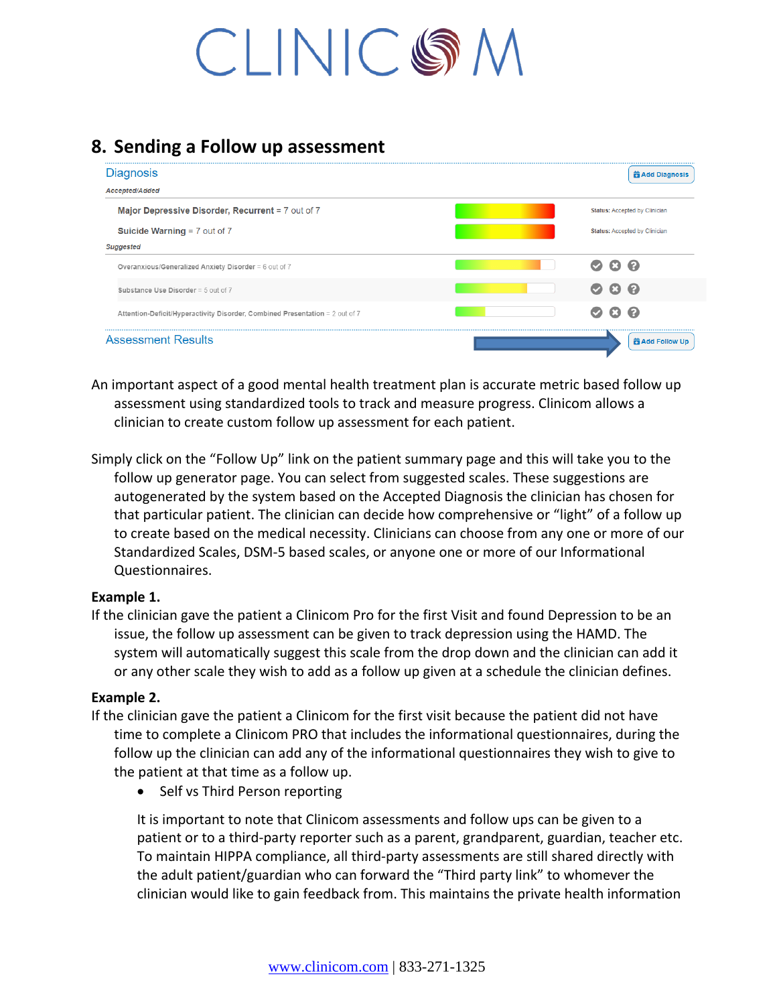### **8. Sending a Follow up assessment**

| <b>茴 Add Diagnosis</b>                |  |  |
|---------------------------------------|--|--|
|                                       |  |  |
| <b>Status: Accepted by Clinician</b>  |  |  |
| <b>Status: Accepted by Clinician</b>  |  |  |
|                                       |  |  |
| <u>ය ව</u><br>Ø                       |  |  |
| <b>ය ව</b><br>$\bullet$               |  |  |
| $\boldsymbol{\Omega}$<br>Œ.<br>$\sim$ |  |  |
| <b>前 Add Follow Up</b>                |  |  |
|                                       |  |  |

An important aspect of a good mental health treatment plan is accurate metric based follow up assessment using standardized tools to track and measure progress. Clinicom allows a clinician to create custom follow up assessment for each patient.

Simply click on the "Follow Up" link on the patient summary page and this will take you to the follow up generator page. You can select from suggested scales. These suggestions are autogenerated by the system based on the Accepted Diagnosis the clinician has chosen for that particular patient. The clinician can decide how comprehensive or "light" of a follow up to create based on the medical necessity. Clinicians can choose from any one or more of our Standardized Scales, DSM-5 based scales, or anyone one or more of our Informational Questionnaires.

#### **Example 1.**

If the clinician gave the patient a Clinicom Pro for the first Visit and found Depression to be an issue, the follow up assessment can be given to track depression using the HAMD. The system will automatically suggest this scale from the drop down and the clinician can add it or any other scale they wish to add as a follow up given at a schedule the clinician defines.

#### **Example 2.**

- If the clinician gave the patient a Clinicom for the first visit because the patient did not have time to complete a Clinicom PRO that includes the informational questionnaires, during the follow up the clinician can add any of the informational questionnaires they wish to give to the patient at that time as a follow up.
	- Self vs Third Person reporting

It is important to note that Clinicom assessments and follow ups can be given to a patient or to a third-party reporter such as a parent, grandparent, guardian, teacher etc. To maintain HIPPA compliance, all third-party assessments are still shared directly with the adult patient/guardian who can forward the "Third party link" to whomever the clinician would like to gain feedback from. This maintains the private health information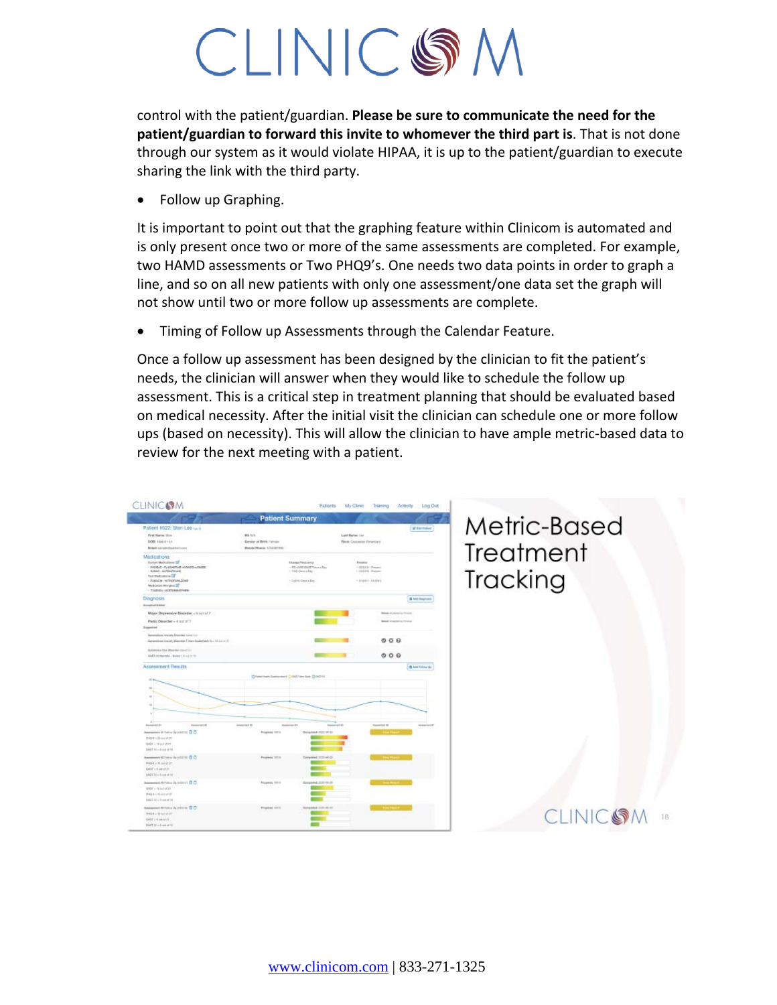control with the patient/guardian. **Please be sure to communicate the need for the patient/guardian to forward this invite to whomever the third part is**. That is not done through our system as it would violate HIPAA, it is up to the patient/guardian to execute sharing the link with the third party.

• Follow up Graphing.

It is important to point out that the graphing feature within Clinicom is automated and is only present once two or more of the same assessments are completed. For example, two HAMD assessments or Two PHQ9's. One needs two data points in order to graph a line, and so on all new patients with only one assessment/one data set the graph will not show until two or more follow up assessments are complete.

• Timing of Follow up Assessments through the Calendar Feature.

Once a follow up assessment has been designed by the clinician to fit the patient's needs, the clinician will answer when they would like to schedule the follow up assessment. This is a critical step in treatment planning that should be evaluated based on medical necessity. After the initial visit the clinician can schedule one or more follow ups (based on necessity). This will allow the clinician to have ample metric-based data to review for the next meeting with a patient.

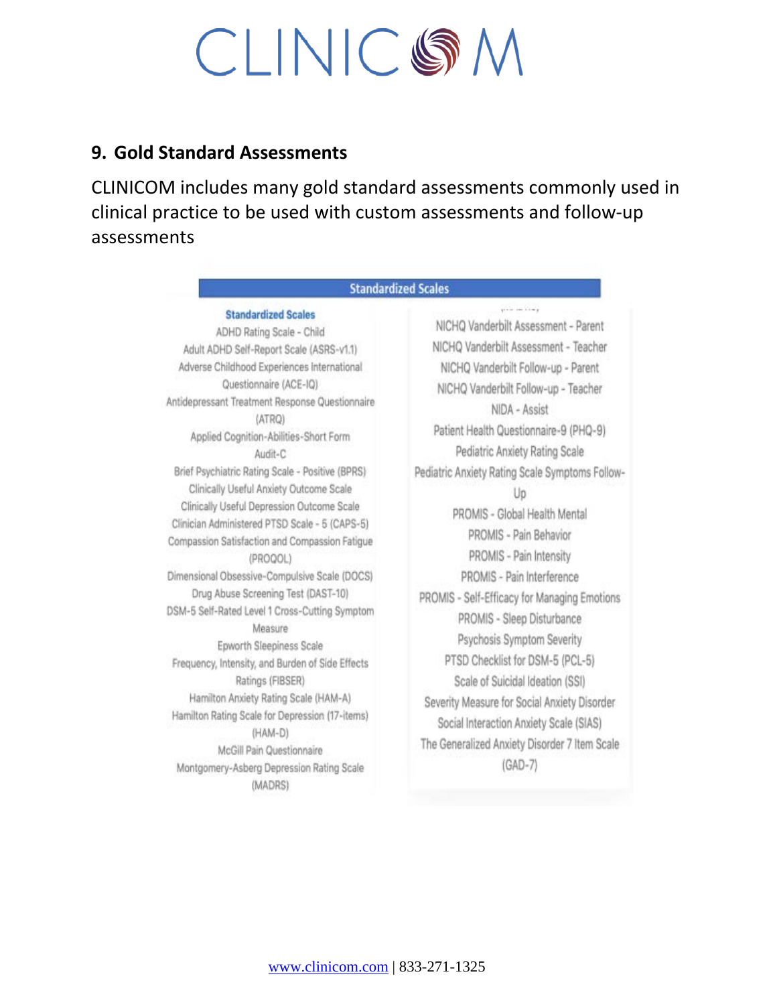### **9. Gold Standard Assessments**

CLINICOM includes many gold standard assessments commonly used in clinical practice to be used with custom assessments and follow-up assessments

| Standardized Scales                                                                                                                                                                                                                                                                                                                                                                                                                                                                                                                                                                                                                                                                                                                                                                                                                                                                                                                                                                                              |                                                                                                                                                                                                                                                                                                                                                                                                                                                                                                                                                                                                                                                                                                                                                                                                      |  |  |
|------------------------------------------------------------------------------------------------------------------------------------------------------------------------------------------------------------------------------------------------------------------------------------------------------------------------------------------------------------------------------------------------------------------------------------------------------------------------------------------------------------------------------------------------------------------------------------------------------------------------------------------------------------------------------------------------------------------------------------------------------------------------------------------------------------------------------------------------------------------------------------------------------------------------------------------------------------------------------------------------------------------|------------------------------------------------------------------------------------------------------------------------------------------------------------------------------------------------------------------------------------------------------------------------------------------------------------------------------------------------------------------------------------------------------------------------------------------------------------------------------------------------------------------------------------------------------------------------------------------------------------------------------------------------------------------------------------------------------------------------------------------------------------------------------------------------------|--|--|
| <b>Standardized Scales</b><br>ADHD Rating Scale - Child<br>Adult ADHD Self-Report Scale (ASRS-v1.1)<br>Adverse Childhood Experiences International<br>Questionnaire (ACE-IQ)<br>Antidepressant Treatment Response Questionnaire<br>(ATRQ)<br>Applied Cognition-Abilities-Short Form<br>Audit-C<br>Brief Psychiatric Rating Scale - Positive (BPRS)<br>Clinically Useful Anxiety Outcome Scale<br>Clinically Useful Depression Outcome Scale<br>Clinician Administered PTSD Scale - 5 (CAPS-5)<br>Compassion Satisfaction and Compassion Fatigue<br>(PROQOL)<br>Dimensional Obsessive-Compulsive Scale (DOCS)<br>Drug Abuse Screening Test (DAST-10)<br>DSM-5 Self-Rated Level 1 Cross-Cutting Symptom<br>Measure<br>Epworth Sleepiness Scale<br>Frequency, Intensity, and Burden of Side Effects<br>Ratings (FIBSER)<br>Hamilton Anxiety Rating Scale (HAM-A)<br>Hamilton Rating Scale for Depression (17-items)<br>(HAM-D)<br>McGill Pain Questionnaire<br>Montgomery-Asberg Depression Rating Scale<br>(MADRS) | plate see him p<br>NICHQ Vanderbilt Assessment - Parent<br>NICHQ Vanderbilt Assessment - Teacher<br>NICHQ Vanderbilt Follow-up - Parent<br>NICHQ Vanderbilt Follow-up - Teacher<br>NIDA - Assist<br>Patient Health Questionnaire-9 (PHQ-9)<br>Pediatric Anxiety Rating Scale<br>Pediatric Anxiety Rating Scale Symptoms Follow-<br>Up<br>PROMIS - Global Health Mental<br>PROMIS - Pain Behavior<br>PROMIS - Pain Intensity<br>PROMIS - Pain Interference<br>PROMIS - Self-Efficacy for Managing Emotions<br>PROMIS - Sleep Disturbance<br>Psychosis Symptom Severity<br>PTSD Checklist for DSM-5 (PCL-5)<br>Scale of Suicidal Ideation (SSI)<br>Severity Measure for Social Anxiety Disorder<br>Social Interaction Anxiety Scale (SIAS)<br>The Generalized Anxiety Disorder 7 Item Scale<br>(GAD-7) |  |  |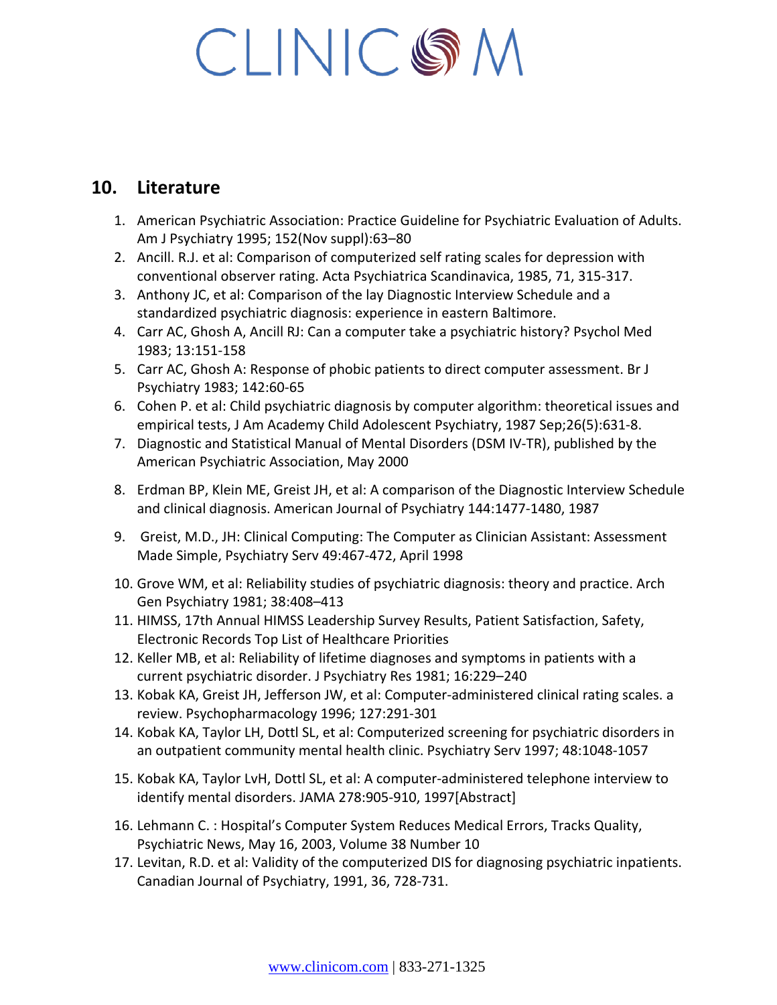### **10. Literature**

- 1. American Psychiatric Association: Practice Guideline for Psychiatric Evaluation of Adults. Am J Psychiatry 1995; 152(Nov suppl):63–80
- 2. Ancill. R.J. et al: Comparison of computerized self rating scales for depression with conventional observer rating. Acta Psychiatrica Scandinavica, 1985, 71, 315-317.
- 3. Anthony JC, et al: Comparison of the lay Diagnostic Interview Schedule and a standardized psychiatric diagnosis: experience in eastern Baltimore.
- 4. Carr AC, Ghosh A, Ancill RJ: Can a computer take a psychiatric history? Psychol Med 1983; 13:151-158
- 5. Carr AC, Ghosh A: Response of phobic patients to direct computer assessment. Br J Psychiatry 1983; 142:60-65
- 6. Cohen P. et al: Child psychiatric diagnosis by computer algorithm: theoretical issues and empirical tests, J Am Academy Child Adolescent Psychiatry, 1987 Sep;26(5):631-8.
- 7. Diagnostic and Statistical Manual of Mental Disorders (DSM IV-TR), published by the American Psychiatric Association, May 2000
- 8. Erdman BP, Klein ME, Greist JH, et al: A comparison of the Diagnostic Interview Schedule and clinical diagnosis. American Journal of Psychiatry 144:1477-1480, 1987
- 9. Greist, M.D., JH: Clinical Computing: The Computer as Clinician Assistant: Assessment Made Simple, Psychiatry Serv 49:467-472, April 1998
- 10. Grove WM, et al: Reliability studies of psychiatric diagnosis: theory and practice. Arch Gen Psychiatry 1981; 38:408–413
- 11. HIMSS, 17th Annual HIMSS Leadership Survey Results, Patient Satisfaction, Safety, Electronic Records Top List of Healthcare Priorities
- 12. Keller MB, et al: Reliability of lifetime diagnoses and symptoms in patients with a current psychiatric disorder. J Psychiatry Res 1981; 16:229–240
- 13. Kobak KA, Greist JH, Jefferson JW, et al: Computer-administered clinical rating scales. a review. Psychopharmacology 1996; 127:291-301
- 14. Kobak KA, Taylor LH, Dottl SL, et al: Computerized screening for psychiatric disorders in an outpatient community mental health clinic. Psychiatry Serv 1997; 48:1048-1057
- 15. Kobak KA, Taylor LvH, Dottl SL, et al: A computer-administered telephone interview to identify mental disorders. JAMA 278:905-910, 1997[Abstract]
- 16. Lehmann C. : Hospital's Computer System Reduces Medical Errors, Tracks Quality, Psychiatric News, May 16, 2003, Volume 38 Number 10
- 17. Levitan, R.D. et al: Validity of the computerized DIS for diagnosing psychiatric inpatients. Canadian Journal of Psychiatry, 1991, 36, 728-731.